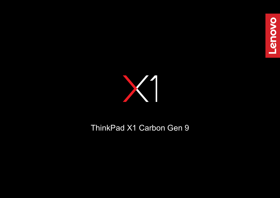



# ThinkPad X1 Carbon Gen 9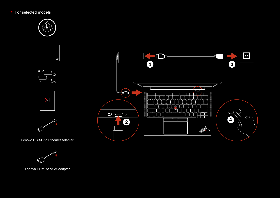### For selected models



Lenovo HDMI to VGA Adapter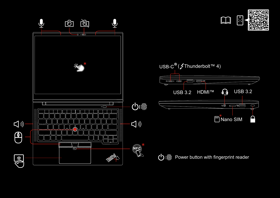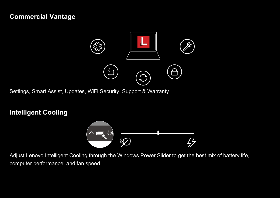## **Commercial Vantage**



Settings, Smart Assist, Updates, WiFi Security, Support & Warranty

## **Intelligent Cooling**



Adjust Lenovo Intelligent Cooling through the Windows Power Slider to get the best mix of battery life, computer performance, and fan speed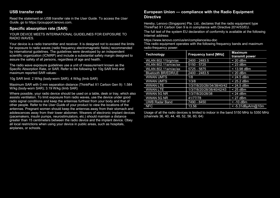#### **USB transfer rate**

Read the statement on USB transfer rate in the *User Guide.* To access the *User Guide*, go to https://pcsupport.lenovo.com.

#### **Specific absorption rate (SAR)**

YOUR DEVICE MEETS INTERNATIONAL GUIDELINES FOR EXPOSURE TO RADIO WAVES.

Your device is a radio transmitter and receiver. It is designed not to exceed the limits for exposure to radio waves (radio frequency electromagnetic fields) recommended by international guidelines. The guidelines were developed by an independent scientific organization (ICNIRP) and include a substantial safety margin designed to assure the safety of all persons, regardless of age and health.

The radio wave exposure guidelines use a unit of measurement known as the Specific Absorption Rate, or SAR. Refer to the following for 10g SAR limit and maximum reported SAR values:

10g SAR limit: 2 W/kg (body-worn SAR); 4 W/kg (limb SAR)

Maximum SAR with 0 mm separation distance (ThinkPad X1 Carbon Gen 9): 1.584 W/kg (body-worn SAR); 3.19 W/kg (limb SAR)

Where possible, your radio device should be used on a table, desk or tray, which also assists ventilation. To limit exposure from radio waves, use the device under good radio signal conditions and keep the antennas furthest from your body and that of other people. Refer to the *User Guide* of your product to view the locations of the antennas. Pregnant women should keep the antennas away from their stomach and adolescences away from their lower abdomen. Wearers of electronic implant devices (pacemakers, insulin pumps, neurostimulators, etc.) should maintain a distance greater than 15 centimeters between the radio device and the implant device. Obey all local restrictions when using your device in public areas, such as hospitals, airplanes, or schools.

#### **European Union — compliance with the Radio Equipment Directive**

Hereby, Lenovo (Singapore) Pte. Ltd., declares that the radio equipment type ThinkPad X1 Carbon Gen 9 is in compliance with Directive 2014/53/EU.

The full text of the system EU declaration of conformity is available at the following Internet address:

<https://www.lenovo.com/us/en/compliance/eu-doc>

This radio equipment operates with the following frequency bands and maximum radio-frequency power:

| Technology                 | <b>Frequency band [MHz]</b> | <b>Maximum</b><br>transmit power |
|----------------------------|-----------------------------|----------------------------------|
| WLAN 802.11b/g/n/ax        | 2400 - 2483.5               | $< 20$ dBm                       |
| WLAN 802.11a/n/ac/ax       | 5150 - 5725                 | $<$ 23 dBm                       |
| WLAN 802.11a/n/ac/ax       | $5725 - 5875$               | < 13.98 dBm                      |
| <b>Bluetooth BR/EDR/LE</b> | 2400 - 2483.5               | $< 20$ dBm                       |
| <b>WWAN UMTS</b>           | 1/8                         | $< 24.5$ dBm                     |
| <b>WWAN UMTS</b>           | 1/3/8                       | < 25.2 dBm                       |
| <b>WWAN LTE</b>            | 1/3/7/8/20/28//34/38/40/42  | $< 24.5$ dBm                     |
| <b>WWAN LTE</b>            | 1/3/7/8/20/28/38/40/42/43   | $< 25$ dBm                       |
| WWAN 5G NR                 | 1/3/7/8/20/28/38            | $< 24$ dBm                       |
| WWAN 5G NR                 | 41/77/78                    | $<$ 27 dBm                       |
| <b>UWB Radar Band</b>      | 7490 - 8450                 | $<$ -10 dBm                      |
| <b>NFC</b>                 | 13.56                       | < -5.31dBµA/m@10m                |

Usage of all the radio devices is limited to indoor in the band 5150 MHz to 5350 MHz (channels 36, 40, 44, 48, 52, 56, 60, 64)